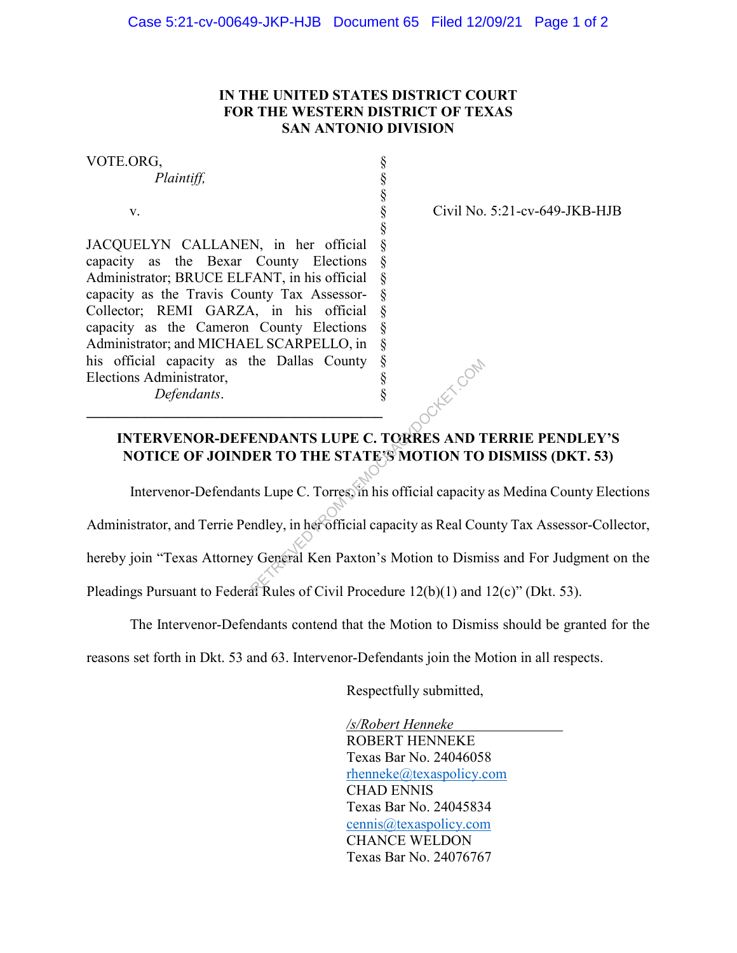## **IN THE UNITED STATES DISTRICT COURT FOR THE WESTERN DISTRICT OF TEXAS SAN ANTONIO DIVISION**

§ § § § § § § § §

§ § § § §

VOTE.ORG,

*Plaintiff,*

v.

JACQUELYN CALLANEN, in her official capacity as the Bexar County Elections Administrator; BRUCE ELFANT, in his official capacity as the Travis County Tax Assessor-Collector; REMI GARZA, in his official § capacity as the Cameron County Elections Administrator; and MICHAEL SCARPELLO, in his official capacity as the Dallas County Elections Administrator, *Defendants*.

**\_\_\_\_\_\_\_\_\_\_\_\_\_\_\_\_\_\_\_\_\_\_\_\_\_\_\_\_\_\_\_\_\_\_\_\_\_\_\_\_\_** 

Civil No. 5:21-cv-649-JKB-HJB

## **INTERVENOR-DEFENDANTS LUPE C. TORRES AND TERRIE PENDLEY'S NOTICE OF JOINDER TO THE STATE'S MOTION TO DISMISS (DKT. 53)** ENDANTS LUPE C. TORRES AND THE STATE SMOTION TO<br>
ENDANTS LUPE C. TORRES AND THE STATE SMOTION TO<br>
IS Lupe C. Torres, in his official capacity<br>
Indley, in her official capacity as Real Court of General Ken Paxton's Motion t

Intervenor-Defendants Lupe C. Torres, in his official capacity as Medina County Elections

Administrator, and Terrie Pendley, in her official capacity as Real County Tax Assessor-Collector,

hereby join "Texas Attorney General Ken Paxton's Motion to Dismiss and For Judgment on the

Pleadings Pursuant to Federal Rules of Civil Procedure 12(b)(1) and 12(c)" (Dkt. 53).

The Intervenor-Defendants contend that the Motion to Dismiss should be granted for the

reasons set forth in Dkt. 53 and 63. Intervenor-Defendants join the Motion in all respects.

Respectfully submitted,

 */s/Robert Henneke* ROBERT HENNEKE Texas Bar No. 24046058 rhenneke@texaspolicy.com CHAD ENNIS Texas Bar No. 24045834 cennis@texaspolicy.com CHANCE WELDON Texas Bar No. 24076767